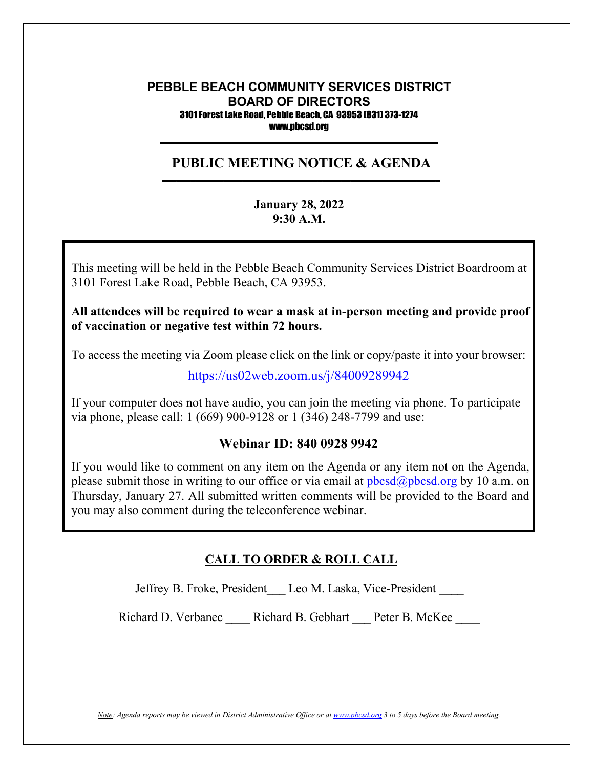#### **PEBBLE BEACH COMMUNITY SERVICES DISTRICT BOARD OF DIRECTORS** 3101 Forest Lake Road, Pebble Beach, CA 93953 (831) 373-1274 www.pbcsd.org  $\frac{1}{2}$  ,  $\frac{1}{2}$  ,  $\frac{1}{2}$  ,  $\frac{1}{2}$  ,  $\frac{1}{2}$  ,  $\frac{1}{2}$  ,  $\frac{1}{2}$  ,  $\frac{1}{2}$  ,  $\frac{1}{2}$  ,  $\frac{1}{2}$  ,  $\frac{1}{2}$  ,  $\frac{1}{2}$  ,  $\frac{1}{2}$  ,  $\frac{1}{2}$  ,  $\frac{1}{2}$  ,  $\frac{1}{2}$  ,  $\frac{1}{2}$  ,  $\frac{1}{2}$  ,  $\frac{1$

#### **PUBLIC MEETING NOTICE & AGENDA \_\_\_\_\_\_\_\_\_\_\_\_\_\_\_\_\_\_\_\_\_\_\_\_\_\_\_\_\_\_\_\_\_\_\_\_\_\_\_\_\_\_\_\_\_\_\_\_\_\_\_\_\_\_\_\_\_\_\_**

#### **January 28, 2022 9:30 A.M.**

**COVID-19 Pandemic and State of California Executive Order N-29-20** 3101 Forest Lake Road, Pebble Beach, CA 93953. This meeting will be held in the Pebble Beach Community Services District Boardroom at

 $t_{\rm eff}$  the public safety  $\sim$  Pebble Beach Community District (PBCSD) will conduct its  $\sim$ All attendees will be required to wear a mask at in-person meeting and provide proof **of vaccination or negative test within 72 hours.**

Access information will be provided in the final agenda at least three days prior to the To access the meeting via Zoom please click on the link or copy/paste it into your browser:

<https://us02web.zoom.us/j/84009289942>

If your computer does not have audio, you can join the meeting via phone. To participate via phone, please call: 1 (669) 900-9128 or 1 (346) 248-7799 and use:

### **Webinar ID: 840 0928 9942**

If you would like to comment on any item on the Agenda or any item not on the Agenda, please submit those in writing to our office or via email at  $pbcsd(\omega pbcsd, org by 10 a.m.$  on Thursday, January 27. All submitted written comments will be provided to the Board and you may also comment during the teleconference webinar.

### **CALL TO ORDER & ROLL CALL**

Jeffrey B. Froke, President Leo M. Laska, Vice-President

Richard D. Verbanec \_\_\_\_ Richard B. Gebhart \_\_\_ Peter B. McKee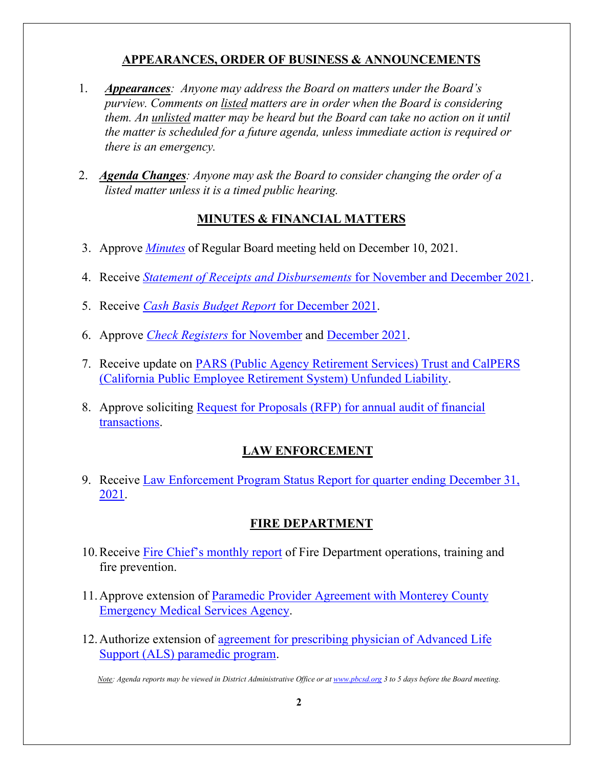## **APPEARANCES, ORDER OF BUSINESS & ANNOUNCEMENTS**

- 1. *Appearances: Anyone may address the Board on matters under the Board's purview. Comments on listed matters are in order when the Board is considering them. An unlisted matter may be heard but the Board can take no action on it until the matter is scheduled for a future agenda, unless immediate action is required or there is an emergency.*
- 2. *Agenda Changes: Anyone may ask the Board to consider changing the order of a listed matter unless it is a timed public hearing.*

## **MINUTES & FINANCIAL MATTERS**

- 3. Approve *[Minutes](https://pbcsd.org/wp-content/uploads/2022/01/03-1210-PBCSD-Draft-minutes.pdf)* of Regular Board meeting held on December 10, 2021.
- 4. Receive *[Statement of Receipts and Disbursements](https://pbcsd.org/wp-content/uploads/2022/01/04-Statement-of-Receipts-Disbursements-for-Nov.-and-Dec.-2021.pdf)* for November and December 2021.
- 5. Receive *[Cash Basis Budget Report](https://pbcsd.org/wp-content/uploads/2022/01/05-Cash-Basis-Budget-Report-for-December-2021.pdf)* for December 2021.
- 6. Approve *[Check Registers](https://pbcsd.org/wp-content/uploads/2022/01/06a-Check-Register-for-November-2021.pdf)* for November and [December](https://pbcsd.org/wp-content/uploads/2022/01/06b-Check-Register-for-December-2021.pdf) 2021.
- 7. Receive update on [PARS \(Public Agency Retirement Services\) Trust and CalPERS](https://pbcsd.org/wp-content/uploads/2022/01/07-PARS-and-CalPERS-Unfunded-Accrued-Liability-Updates.pdf)  [\(California Public Employee Retirement System\) Unfunded Liability.](https://pbcsd.org/wp-content/uploads/2022/01/07-PARS-and-CalPERS-Unfunded-Accrued-Liability-Updates.pdf)
- 8. Approve soliciting [Request for Proposals \(RFP\) for annual audit of financial](https://pbcsd.org/wp-content/uploads/2022/01/08-Request-for-Proposals-for-Annual-Audit-of-Financial-Transactions.pdf)  [transactions.](https://pbcsd.org/wp-content/uploads/2022/01/08-Request-for-Proposals-for-Annual-Audit-of-Financial-Transactions.pdf)

## **LAW ENFORCEMENT**

9. Receive [Law Enforcement Program Status Report for quarter ending December 31,](https://pbcsd.org/wp-content/uploads/2022/01/09-Law-Enforcement-Program-Status-Report-for-Quarter-Ending-Dec.-31-2021.pdf)  [2021.](https://pbcsd.org/wp-content/uploads/2022/01/09-Law-Enforcement-Program-Status-Report-for-Quarter-Ending-Dec.-31-2021.pdf)

## **FIRE DEPARTMENT**

- 10.Receive [Fire Chief's monthly report](https://pbcsd.org/wp-content/uploads/2022/01/10-Fire-Chiefs-Monthly-Report.pdf) of Fire Department operations, training and fire prevention.
- 11.Approve extension of [Paramedic Provider Agreement with Monterey County](https://pbcsd.org/wp-content/uploads/2022/01/11-Paramedic-Provider-Agreement-with-Monterey-County-EMS-Agency.pdf)  [Emergency Medical Services Agency.](https://pbcsd.org/wp-content/uploads/2022/01/11-Paramedic-Provider-Agreement-with-Monterey-County-EMS-Agency.pdf)
- 12.Authorize extension of [agreement for prescribing physician of Advanced Life](https://pbcsd.org/wp-content/uploads/2022/01/12-Prescribing-Physician-Agreement-for-Advanced-Life-Support-Paramedic-Program.pdf)  [Support \(ALS\) paramedic program.](https://pbcsd.org/wp-content/uploads/2022/01/12-Prescribing-Physician-Agreement-for-Advanced-Life-Support-Paramedic-Program.pdf)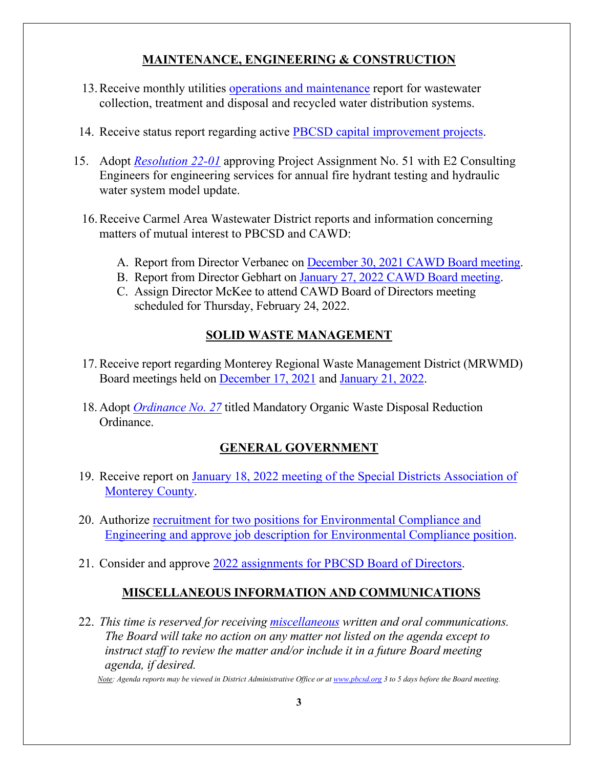## **MAINTENANCE, ENGINEERING & CONSTRUCTION**

- 13.Receive monthly utilities [operations and maintenance](https://pbcsd.org/wp-content/uploads/2022/01/13-Operations-Maintenance-Report.pdf) report for wastewater collection, treatment and disposal and recycled water distribution systems.
- 14. Receive status report regarding active [PBCSD capital improvement projects.](https://pbcsd.org/wp-content/uploads/2022/01/14-Capital-Improvement-Projects-Report.pdf)
- 15. Adopt *[Resolution 22-01](https://pbcsd.org/wp-content/uploads/2022/01/15-RES-22-01-E2-Project-Assignment-No.51-for-2022-Fire-Hydrant-Testing.pdf)* approving Project Assignment No. 51 with E2 Consulting Engineers for engineering services for annual fire hydrant testing and hydraulic water system model update.
	- 16.Receive Carmel Area Wastewater District reports and information concerning matters of mutual interest to PBCSD and CAWD:
		- A. Report from Director Verbanec on December 30, 2021 [CAWD Board meeting.](https://pbcsd.org/wp-content/uploads/2022/01/16a-CAWD-Board-Agenda-Packet-for-December-30-2021-Meeting.pdf)
		- B. Report from Director Gebhart on January 27, 2022 [CAWD Board meeting.](https://pbcsd.org/wp-content/uploads/2022/01/16b-CAWD-Board-Agenda-Packet-for-January-27-2022-Meeting.pdf)
		- C. Assign Director McKee to attend CAWD Board of Directors meeting scheduled for Thursday, February 24, 2022.

# **SOLID WASTE MANAGEMENT**

- 17.Receive report regarding Monterey Regional Waste Management District (MRWMD) Board meetings held on [December 17, 2021](https://pbcsd.org/wp-content/uploads/2022/01/17a-MRWMD-Board-Meeting-Agenda-GM-Report-for-Dec.-17-2021.pdf) and [January 21, 2022.](https://pbcsd.org/wp-content/uploads/2022/01/17b-MRWMD-Authority-Board-Meeting-Agendas-GM-Report-for-Jan.-21-2022.pdf)
- 18. Adopt *[Ordinance](https://pbcsd.org/wp-content/uploads/2022/01/18-Ordinance-No.-27-Mandatory-Organic-Waste-Disposal-Reduction-Ordinance.pdf) No. 27* titled Mandatory Organic Waste Disposal Reduction Ordinance.

# **GENERAL GOVERNMENT**

- 19. Receive report on [January 18, 2022 meeting of the Special Districts Association of](https://pbcsd.org/wp-content/uploads/2022/01/19-Special-Districts-Association-Monterey-County-Meeting-on-Jan.-18-2022.pdf)  [Monterey County.](https://pbcsd.org/wp-content/uploads/2022/01/19-Special-Districts-Association-Monterey-County-Meeting-on-Jan.-18-2022.pdf)
- 20. Authorize [recruitment for two positions for Environmental Compliance and](https://pbcsd.org/wp-content/uploads/2022/01/20-Engineering-and-Environmental-Compliance-Position-Report.pdf)  [Engineering and approve job description for Environmental Compliance position.](https://pbcsd.org/wp-content/uploads/2022/01/20-Engineering-and-Environmental-Compliance-Position-Report.pdf)
- 21. Consider and approve [2022 assignments for PBCSD Board of Directors.](https://pbcsd.org/wp-content/uploads/2022/01/21-Director-Assignments-for-2022.pdf)

# **MISCELLANEOUS INFORMATION AND COMMUNICATIONS**

22. *This time is reserved for receiving [miscellaneous](https://pbcsd.org/wp-content/uploads/2022/01/22-Miscellaneous-JPIA-Recognition-for-Liability_WC-Program.pdf) written and oral communications. The Board will take no action on any matter not listed on the agenda except to instruct staff to review the matter and/or include it in a future Board meeting agenda, if desired.*